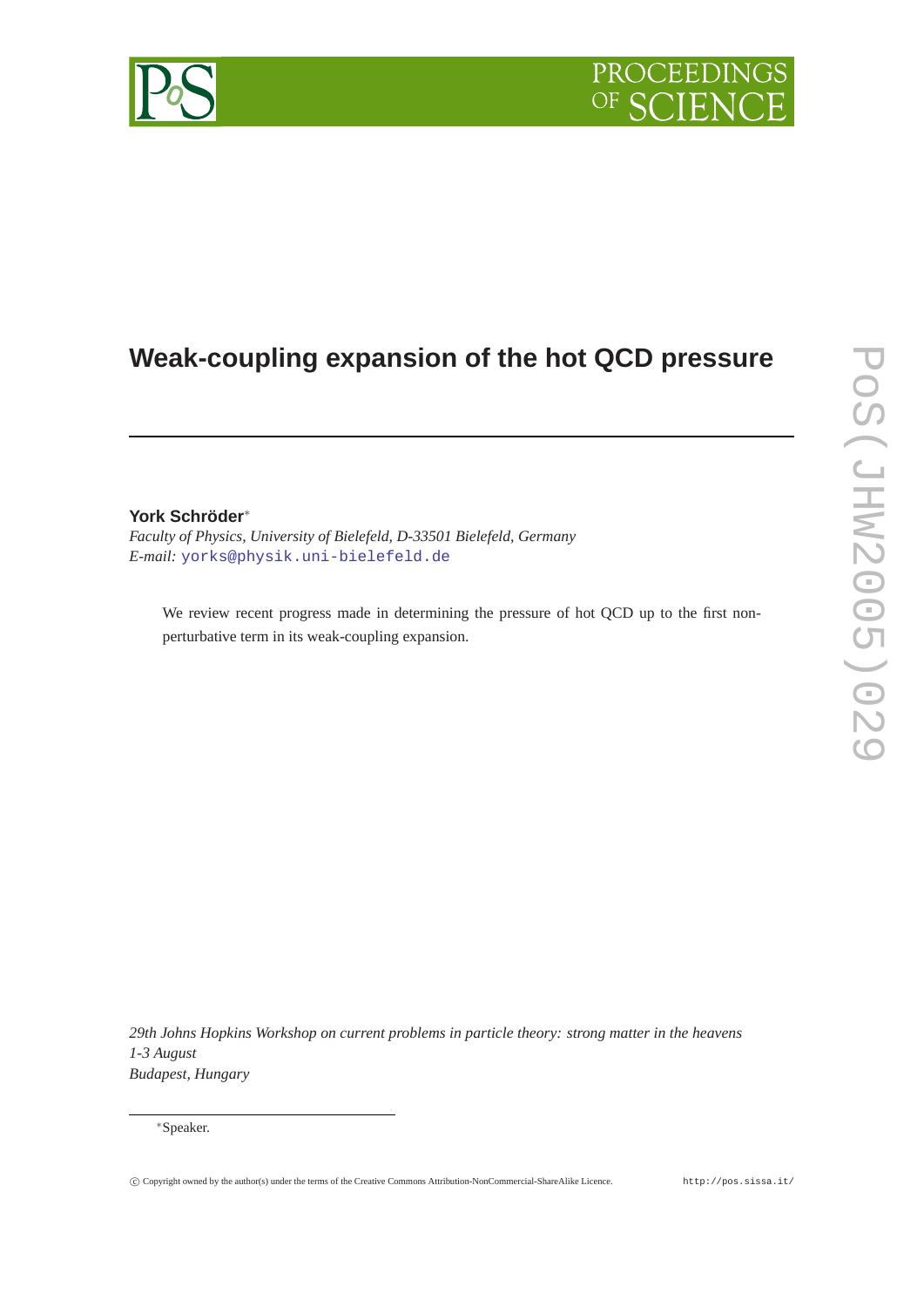# PROCEEDIN

# **Weak-coupling expansion of the hot QCD pressure**

## **York Schröder**<sup>∗</sup>

*Faculty of Physics, University of Bielefeld, D-33501 Bielefeld, Germany E-mail:* [yorks@physik.uni-bielefeld.de](mailto:yorks@physik.uni-bielefeld.de)

We review recent progress made in determining the pressure of hot QCD up to the first nonperturbative term in its weak-coupling expansion.

*29th Johns Hopkins Workshop on current problems in particle theory: strong matter in the heavens 1-3 August Budapest, Hungary*

#### <sup>∗</sup>Speaker.

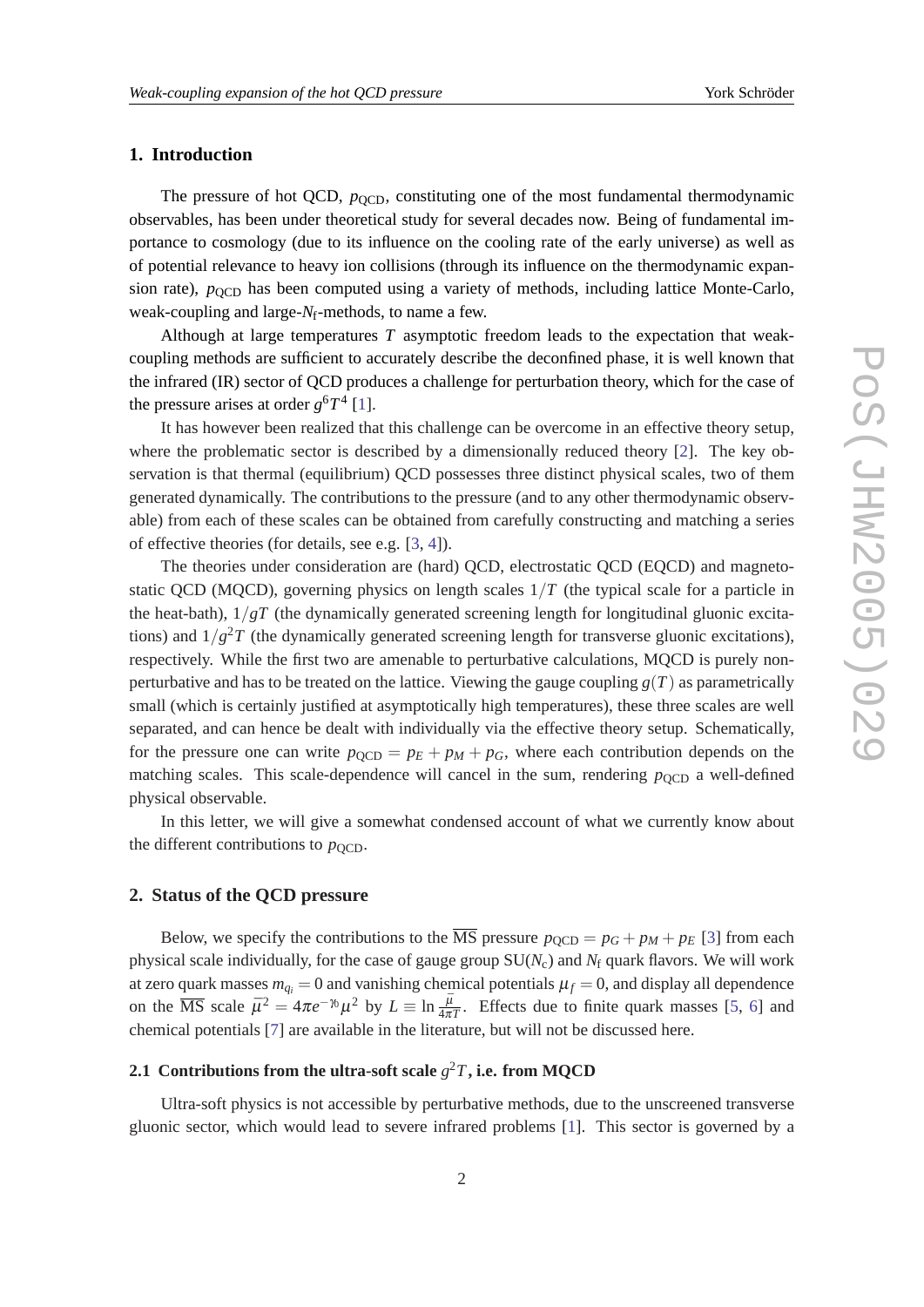#### **1. Introduction**

The pressure of hot QCD,  $p_{\text{OCD}}$ , constituting one of the most fundamental thermodynamic observables, has been under theoretical study for several decades now. Being of fundamental importance to cosmology (due to its influence on the cooling rate of the early universe) as well as of potential relevance to heavy ion collisions (through its influence on the thermodynamic expansion rate),  $p_{\text{OCD}}$  has been computed using a variety of methods, including lattice Monte-Carlo, weak-coupling and large-*N*f-methods, to name a few.

Although at large temperatures *T* asymptotic freedom leads to the expectation that weakcoupling methods are sufficient to accurately describe the deconfined phase, it is well known that the infrared (IR) sector of QCD produces a challenge for perturbation theory, which for the case of the pressure arises at order  $g^6T^4$  [[1](#page-9-0)].

It has however been realized that this challenge can be overcome in an effective theory setup, where the problematic sector is described by a dimensionally reduced theory [\[2](#page-9-0)]. The key observation is that thermal (equilibrium) QCD possesses three distinct physical scales, two of them generated dynamically. The contributions to the pressure (and to any other thermodynamic observable) from each of these scales can be obtained from carefully constructing and matching a series of effective theories (for details, see e.g. [\[3](#page-9-0), [4](#page-9-0)]).

The theories under consideration are (hard) QCD, electrostatic QCD (EQCD) and magnetostatic OCD (MOCD), governing physics on length scales  $1/T$  (the typical scale for a particle in the heat-bath),  $1/gT$  (the dynamically generated screening length for longitudinal gluonic excitations) and 1/*g* <sup>2</sup>*T* (the dynamically generated screening length for transverse gluonic excitations), respectively. While the first two are amenable to perturbative calculations, MQCD is purely nonperturbative and has to be treated on the lattice. Viewing the gauge coupling  $g(T)$  as parametrically small (which is certainly justified at asymptotically high temperatures), these three scales are well separated, and can hence be dealt with individually via the effective theory setup. Schematically, for the pressure one can write  $p_{\text{OCD}} = p_E + p_M + p_G$ , where each contribution depends on the matching scales. This scale-dependence will cancel in the sum, rendering *p*<sub>OCD</sub> a well-defined physical observable.

In this letter, we will give a somewhat condensed account of what we currently know about the different contributions to  $p_{\text{OCD}}$ .

#### **2. Status of the QCD pressure**

Below, we specify the contributions to the  $\overline{\text{MS}}$  pressure  $p_{\text{OCD}} = p_G + p_M + p_E$  [[3](#page-9-0)] from each physical scale individually, for the case of gauge group SU(*N*c) and *N*<sup>f</sup> quark flavors. We will work at zero quark masses  $m_{q_i} = 0$  and vanishing chemical potentials  $\mu_f = 0$ , and display all dependence on the  $\overline{MS}$  scale  $\bar{\mu}^2 = 4\pi e^{-\gamma/2} \mu^2$  by  $L \equiv \ln \frac{\bar{\mu}}{4\pi T}$ . Effects due to finite quark masses [[5,](#page-9-0) [6](#page-9-0)] and chemical potentials [\[7\]](#page-9-0) are available in the literature, but will not be discussed here.

### **2.1 Contributions from the ultra-soft scale** *g* <sup>2</sup>*T***, i.e. from MQCD**

Ultra-soft physics is not accessible by perturbative methods, due to the unscreened transverse gluonic sector, which would lead to severe infrared problems [[1](#page-9-0)]. This sector is governed by a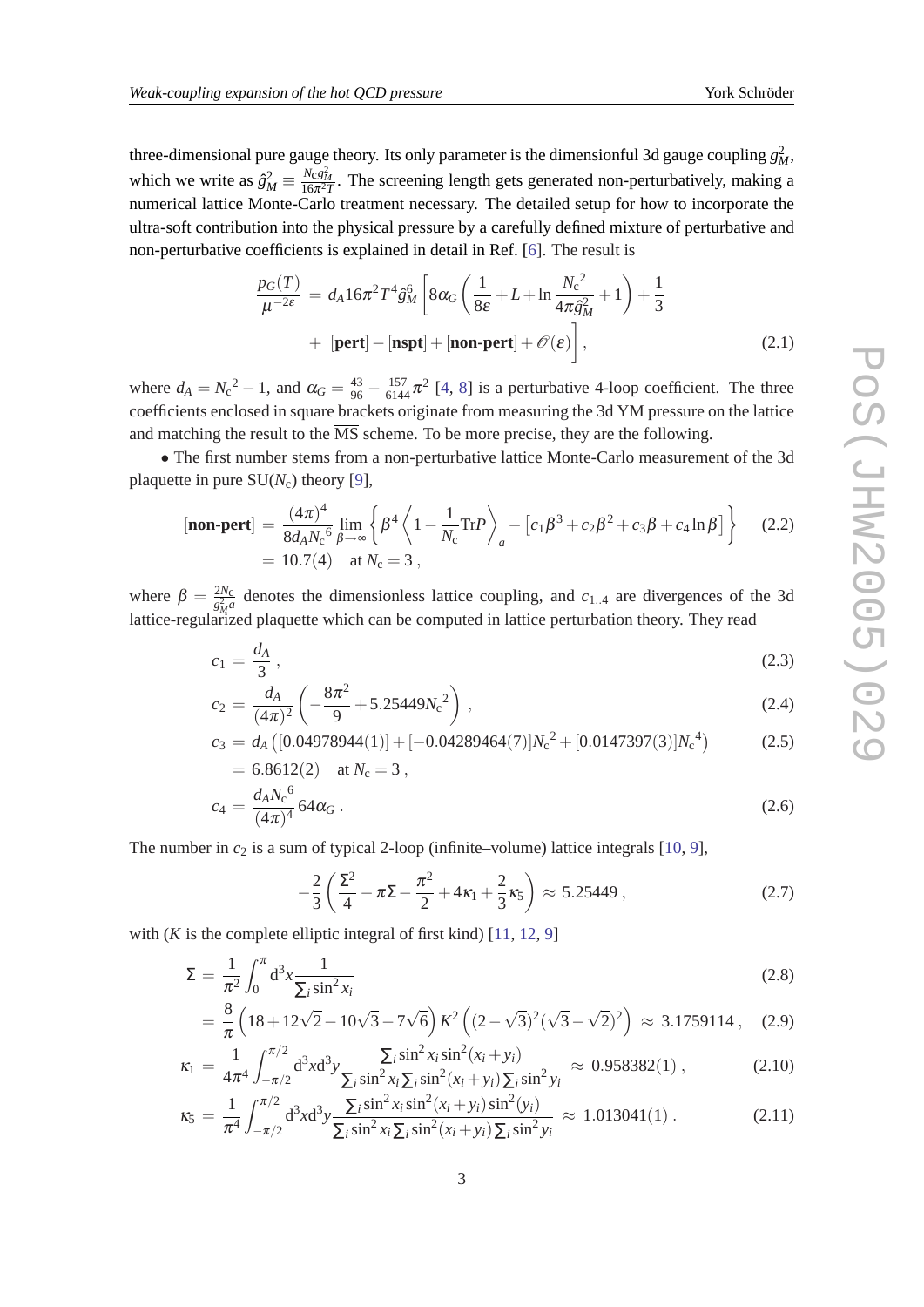<span id="page-2-0"></span>three-dimensional pure gauge theory. Its only parameter is the dimensionful 3d gauge coupling  $g_M^2$ , which we write as  $\hat{g}_M^2 \equiv \frac{N_c g_M^2}{16\pi^2 T}$ . The screening length gets generated non-perturbatively, making a numerical lattice Monte-Carlo treatment necessary. The detailed setup for how to incorporate the ultra-soft contribution into the physical pressure by a carefully defined mixture of perturbative and non-perturbative coefficients is explained in detail in Ref. [\[6\]](#page-9-0). The result is

$$
\frac{p_G(T)}{\mu^{-2\varepsilon}} = d_A 16\pi^2 T^4 \hat{g}_M^6 \left[ 8\alpha_G \left( \frac{1}{8\varepsilon} + L + \ln \frac{N_c^2}{4\pi \hat{g}_M^2} + 1 \right) + \frac{1}{3} + \left[ \text{pert} \right] - \left[ \text{nspt} \right] + \left[ \text{non-pert} \right] + \mathcal{O}(\varepsilon) \right],
$$
\n(2.1)

where  $d_A = N_c^2 - 1$ , and  $\alpha_G = \frac{43}{96} - \frac{157}{6144} \pi^2$  [\[4](#page-9-0), [8](#page-10-0)] is a perturbative 4-loop coefficient. The three coefficients enclosed in square brackets originate from measuring the 3d YM pressure on the lattice and matching the result to the  $\overline{\text{MS}}$  scheme. To be more precise, they are the following.

• The first number stems from a non-perturbative lattice Monte-Carlo measurement of the 3d plaquette in pure  $SU(N_c)$  theory [[9](#page-10-0)],

$$
[\text{non-pert}] = \frac{(4\pi)^4}{8d_A N_c^6} \lim_{\beta \to \infty} \left\{ \beta^4 \left\langle 1 - \frac{1}{N_c} \text{Tr} P \right\rangle_a - \left[ c_1 \beta^3 + c_2 \beta^2 + c_3 \beta + c_4 \ln \beta \right] \right\}
$$
 (2.2)  
= 10.7(4) at  $N_c = 3$ ,

where  $\beta = \frac{2N_c}{\sigma^2}$  $\frac{2N_c}{g_M^2 a}$  denotes the dimensionless lattice coupling, and *c*<sub>1..4</sub> are divergences of the 3d lattice-regularized plaquette which can be computed in lattice perturbation theory. They read

$$
c_1 = \frac{d_A}{3},\tag{2.3}
$$

$$
c_2 = \frac{d_A}{(4\pi)^2} \left( -\frac{8\pi^2}{9} + 5.25449 N_c^2 \right) ,\qquad (2.4)
$$

$$
c_3 = d_A ([0.04978944(1)] + [-0.04289464(7)]N_c^2 + [0.0147397(3)]N_c^4)
$$
(2.5)  
= 6.8612(2) at N<sub>c</sub> = 3,

$$
c_4 = \frac{d_A N_c^6}{(4\pi)^4} 64\alpha_G \,. \tag{2.6}
$$

The number in  $c_2$  is a sum of typical 2-loop (infinite–volume) lattice integrals  $[10, 9]$  $[10, 9]$  $[10, 9]$  $[10, 9]$ ,

$$
-\frac{2}{3}\left(\frac{\Sigma^2}{4} - \pi\Sigma - \frac{\pi^2}{2} + 4\kappa_1 + \frac{2}{3}\kappa_5\right) \approx 5.25449\,,\tag{2.7}
$$

with  $(K$  is the complete elliptic integral of first kind)  $[11, 12, 9]$  $[11, 12, 9]$  $[11, 12, 9]$  $[11, 12, 9]$  $[11, 12, 9]$  $[11, 12, 9]$ 

$$
\Sigma = \frac{1}{\pi^2} \int_0^{\pi} d^3 x \frac{1}{\sum_i \sin^2 x_i} \tag{2.8}
$$

$$
= \frac{8}{\pi} \left( 18 + 12\sqrt{2} - 10\sqrt{3} - 7\sqrt{6} \right) K^2 \left( (2 - \sqrt{3})^2 (\sqrt{3} - \sqrt{2})^2 \right) \approx 3.1759114 \,, \quad (2.9)
$$

$$
\kappa_1 = \frac{1}{4\pi^4} \int_{-\pi/2}^{\pi/2} d^3x d^3y \frac{\sum_i \sin^2 x_i \sin^2(x_i + y_i)}{\sum_i \sin^2 x_i \sum_i \sin^2(x_i + y_i) \sum_i \sin^2 y_i} \approx 0.958382(1) ,
$$
 (2.10)

$$
\kappa_5 = \frac{1}{\pi^4} \int_{-\pi/2}^{\pi/2} d^3x d^3y \frac{\sum_i \sin^2 x_i \sin^2(x_i + y_i) \sin^2(y_i)}{\sum_i \sin^2 x_i \sum_i \sin^2(x_i + y_i) \sum_i \sin^2 y_i} \approx 1.013041(1)
$$
 (2.11)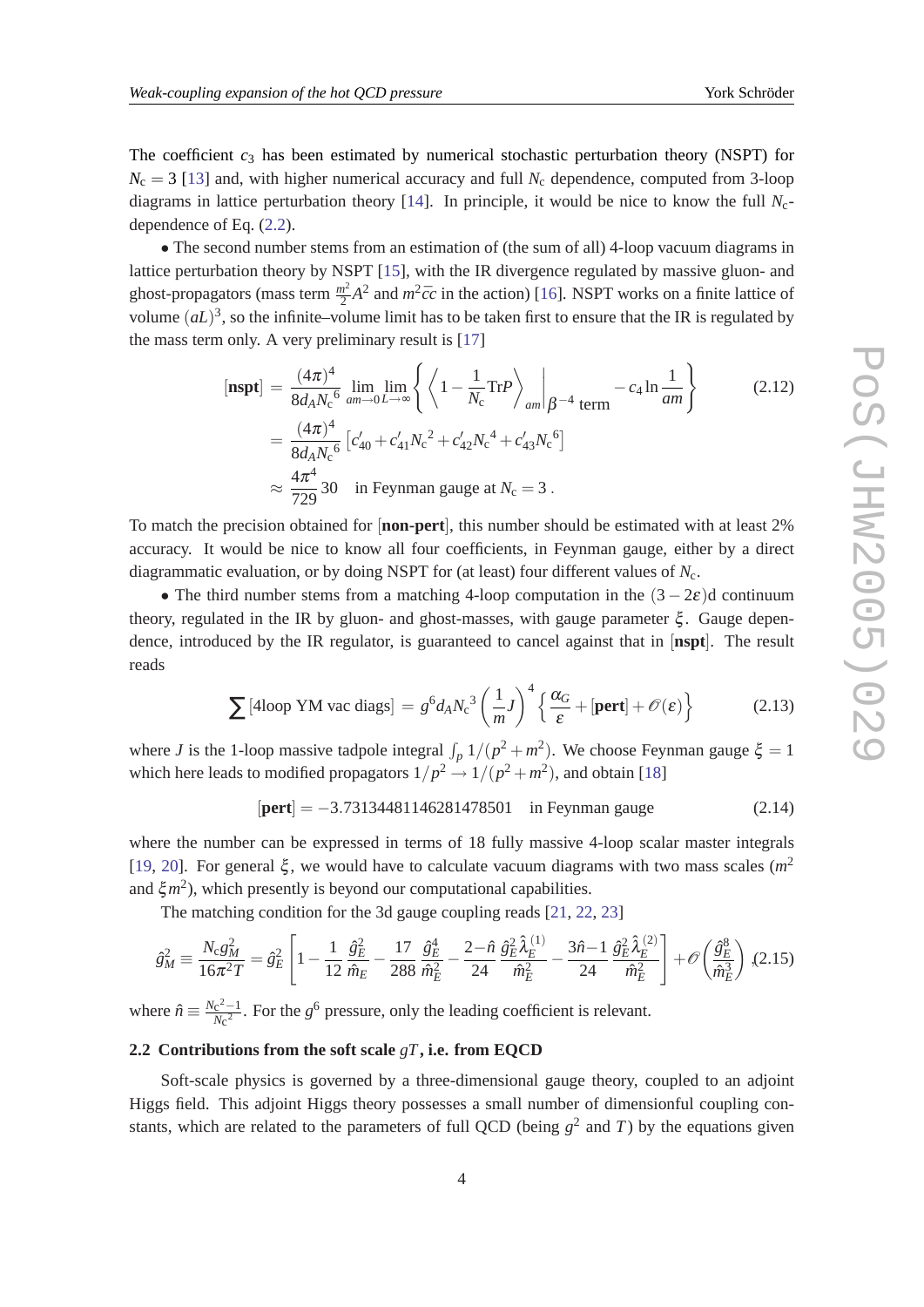<span id="page-3-0"></span>The coefficient  $c_3$  has been estimated by numerical stochastic perturbation theory (NSPT) for  $N_c = 3$  [[13\]](#page-10-0) and, with higher numerical accuracy and full  $N_c$  dependence, computed from 3-loop diagrams in lattice perturbation theory [\[14](#page-10-0)]. In principle, it would be nice to know the full *N*cdependence of Eq. ([2.2](#page-2-0)).

• The second number stems from an estimation of (the sum of all) 4-loop vacuum diagrams in lattice perturbation theory by NSPT [\[15\]](#page-10-0), with the IR divergence regulated by massive gluon- and ghost-propagators (mass term *<sup>m</sup>* 2  $\frac{m^2}{2}A^2$  and  $m^2\bar{c}c$  in the action) [\[16\]](#page-10-0). NSPT works on a finite lattice of volume  $(aL)^3$ , so the infinite–volume limit has to be taken first to ensure that the IR is regulated by the mass term only. A very preliminary result is [\[17](#page-10-0)]

$$
[\text{nspt}] = \frac{(4\pi)^4}{8d_A N_c^6} \lim_{am \to 0} \lim_{L \to \infty} \left\{ \left\langle 1 - \frac{1}{N_c} \text{Tr} P \right\rangle_{am} \middle|_{\beta^{-4} \text{ term}} - c_4 \ln \frac{1}{am} \right\}
$$
(2.12)  
=  $\frac{(4\pi)^4}{8d_A N_c^6} \left[ c'_{40} + c'_{41} N_c^2 + c'_{42} N_c^4 + c'_{43} N_c^6 \right]$   
 $\approx \frac{4\pi^4}{729} 30$  in Feynman gauge at  $N_c = 3$ .

To match the precision obtained for [**non-pert**], this number should be estimated with at least 2% accuracy. It would be nice to know all four coefficients, in Feynman gauge, either by a direct diagrammatic evaluation, or by doing NSPT for (at least) four different values of *N*c.

• The third number stems from a matching 4-loop computation in the  $(3 - 2\varepsilon)d$  continuum theory, regulated in the IR by gluon- and ghost-masses, with gauge parameter  $ξ$ . Gauge dependence, introduced by the IR regulator, is guaranteed to cancel against that in [**nspt**]. The result reads

$$
\sum [4\text{loop YM vac dias}] = g^6 d_A N_c^3 \left(\frac{1}{m} J\right)^4 \left\{ \frac{\alpha_G}{\varepsilon} + [\text{pert}] + \mathcal{O}(\varepsilon) \right\} \tag{2.13}
$$

where *J* is the 1-loop massive tadpole integral  $\int_p 1/(p^2 + m^2)$ . We choose Feynman gauge  $\xi = 1$ which here leads to modified propagators  $1/p^2 \rightarrow 1/(p^2+m^2)$ , and obtain [\[18](#page-10-0)]

$$
|\text{pert}| = -3.73134481146281478501
$$
 in Feynman gauge (2.14)

where the number can be expressed in terms of 18 fully massive 4-loop scalar master integrals [[19,](#page-10-0) [20\]](#page-10-0). For general  $\xi$ , we would have to calculate vacuum diagrams with two mass scales ( $m^2$ ) and  $\xi m^2$ ), which presently is beyond our computational capabilities.

The matching condition for the 3d gauge coupling reads [[21,](#page-10-0) [22](#page-10-0), [23](#page-10-0)]

$$
\hat{g}_M^2 \equiv \frac{N_c g_M^2}{16\pi^2 T} = \hat{g}_E^2 \left[ 1 - \frac{1}{12} \frac{\hat{g}_E^2}{\hat{m}_E} - \frac{17}{288} \frac{\hat{g}_E^4}{\hat{m}_E^2} - \frac{2 - \hat{n}}{24} \frac{\hat{g}_E^2 \hat{\lambda}_E^{(1)}}{\hat{m}_E^2} - \frac{3\hat{n} - 1}{24} \frac{\hat{g}_E^2 \hat{\lambda}_E^{(2)}}{\hat{m}_E^2} \right] + \mathcal{O}\left(\frac{\hat{g}_E^8}{\hat{m}_E^3}\right), (2.15)
$$

where  $\hat{n} \equiv \frac{N_c^2 - 1}{N_c^2}$  $\frac{c^2-1}{Nc^2}$ . For the *g*<sup>6</sup> pressure, only the leading coefficient is relevant.

#### **2.2 Contributions from the soft scale** *gT***, i.e. from EQCD**

Soft-scale physics is governed by a three-dimensional gauge theory, coupled to an adjoint Higgs field. This adjoint Higgs theory possesses a small number of dimensionful coupling constants, which are related to the parameters of full QCD (being  $g^2$  and *T*) by the equations given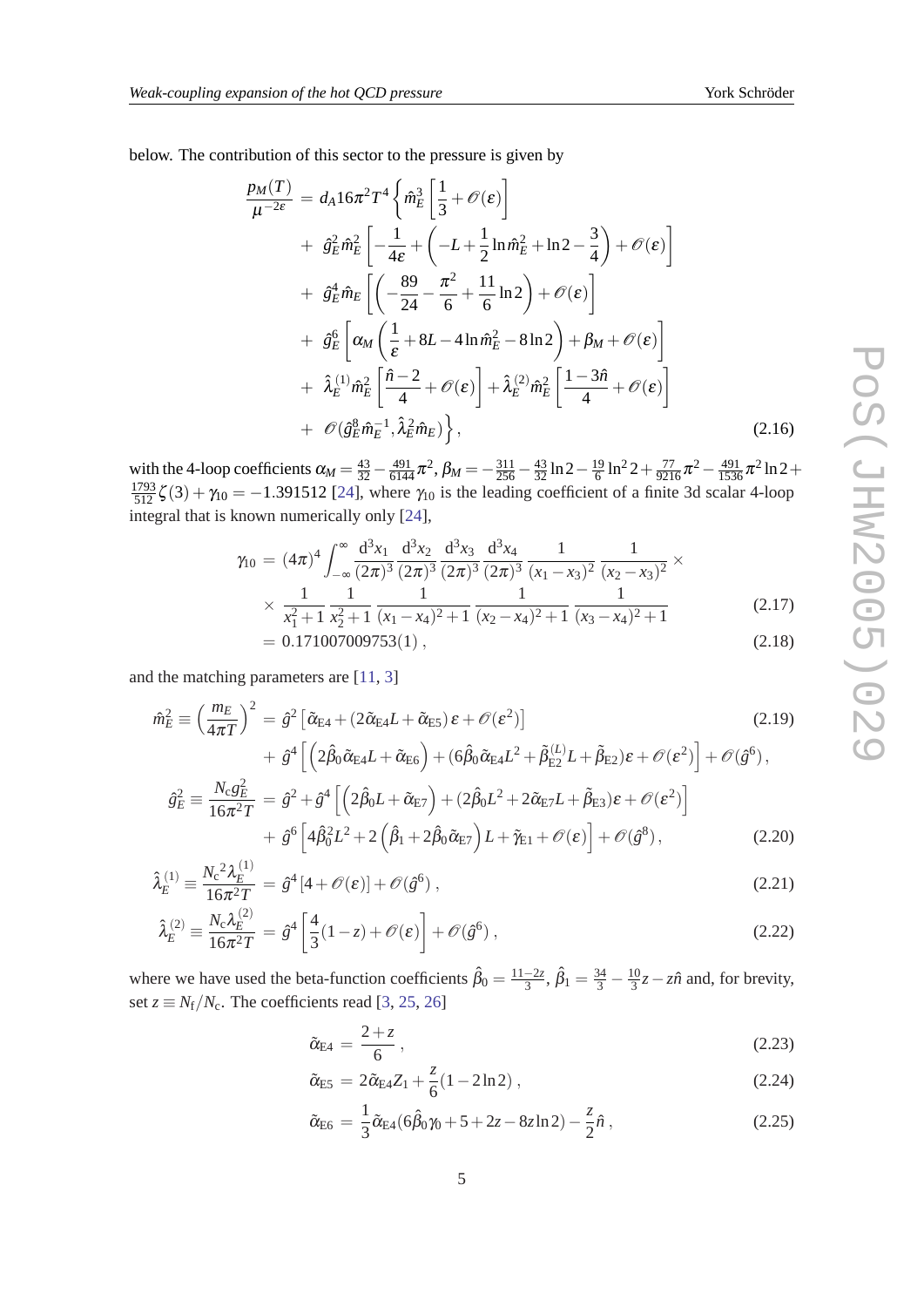<span id="page-4-0"></span>below. The contribution of this sector to the pressure is given by

$$
\frac{p_M(T)}{\mu^{-2\varepsilon}} = d_A 16\pi^2 T^4 \left\{ \hat{m}_E^3 \left[ \frac{1}{3} + \mathcal{O}(\varepsilon) \right] \right.\n+ \hat{g}_E^2 \hat{m}_E^2 \left[ -\frac{1}{4\varepsilon} + \left( -L + \frac{1}{2} \ln \hat{m}_E^2 + \ln 2 - \frac{3}{4} \right) + \mathcal{O}(\varepsilon) \right] \n+ \hat{g}_E^4 \hat{m}_E \left[ \left( -\frac{89}{24} - \frac{\pi^2}{6} + \frac{11}{6} \ln 2 \right) + \mathcal{O}(\varepsilon) \right] \n+ \hat{g}_E^6 \left[ \alpha_M \left( \frac{1}{\varepsilon} + 8L - 4 \ln \hat{m}_E^2 - 8 \ln 2 \right) + \beta_M + \mathcal{O}(\varepsilon) \right] \n+ \hat{\lambda}_E^{(1)} \hat{m}_E^2 \left[ \frac{\hat{n} - 2}{4} + \mathcal{O}(\varepsilon) \right] + \hat{\lambda}_E^{(2)} \hat{m}_E^2 \left[ \frac{1 - 3\hat{n}}{4} + \mathcal{O}(\varepsilon) \right] \n+ \mathcal{O}(\hat{g}_E^8 \hat{m}_E^{-1}, \hat{\lambda}_E^2 \hat{m}_E) \right\},
$$
\n(2.16)

with the 4-loop coefficients  $\alpha_M = \frac{43}{32} - \frac{491}{6144}\pi^2$ ,  $\beta_M = -\frac{311}{256} - \frac{43}{32} \ln 2 - \frac{19}{6}$  $\frac{19}{6}$  ln<sup>2</sup> 2 +  $\frac{77}{9216}$  $\pi^2$  -  $\frac{491}{1536}$  $\pi^2$  ln 2 +  $\frac{1793}{512}\zeta(3) + \gamma_{10} = -1.391512$  [\[24](#page-10-0)], where  $\gamma_{10}$  is the leading coefficient of a finite 3d scalar 4-loop integral that is known numerically only [\[24\]](#page-10-0),

$$
\gamma_{10} = (4\pi)^4 \int_{-\infty}^{\infty} \frac{d^3 x_1}{(2\pi)^3} \frac{d^3 x_2}{(2\pi)^3} \frac{d^3 x_3}{(2\pi)^3} \frac{d^3 x_4}{(x_1 - x_3)^2} \frac{1}{(x_2 - x_3)^2} \times \frac{1}{x_1^2 + 1} \frac{1}{x_2^2 + 1} \frac{1}{(x_1 - x_4)^2 + 1} \frac{1}{(x_2 - x_4)^2 + 1} \frac{1}{(x_3 - x_4)^2 + 1}
$$
\n
$$
= 0.171007009753(1), \qquad (2.18)
$$

and the matching parameters are [\[11](#page-10-0), [3](#page-9-0)]

$$
\hat{m}_E^2 \equiv \left(\frac{m_E}{4\pi T}\right)^2 = \hat{g}^2 \left[\tilde{\alpha}_{E4} + (2\tilde{\alpha}_{E4}L + \tilde{\alpha}_{E5})\,\varepsilon + \mathcal{O}(\varepsilon^2)\right]
$$
\n
$$
+ \hat{g}^4 \left[\left(2\hat{\beta}_0\tilde{\alpha}_{E4}L + \tilde{\alpha}_{E6}\right) + (6\hat{\beta}_0\tilde{\alpha}_{E4}L^2 + \tilde{\beta}_{E2}^{(L)}L + \tilde{\beta}_{E2})\varepsilon + \mathcal{O}(\varepsilon^2)\right] + \mathcal{O}(\hat{g}^6),
$$
\n
$$
\hat{g}_E^2 \equiv \frac{N_c g_E^2}{16\pi^2 T} = \hat{g}^2 + \hat{g}^4 \left[\left(2\hat{\beta}_0L + \tilde{\alpha}_{E7}\right) + (2\hat{\beta}_0L^2 + 2\tilde{\alpha}_{E7}L + \tilde{\beta}_{E3})\varepsilon + \mathcal{O}(\varepsilon^2)\right]
$$
\n
$$
+ \hat{g}^6 \left[4\hat{\beta}_0^2L^2 + 2\left(\hat{\beta}_1 + 2\hat{\beta}_0\tilde{\alpha}_{E7}\right)L + \tilde{\gamma}_{E1} + \mathcal{O}(\varepsilon)\right] + \mathcal{O}(\hat{g}^8),
$$
\n(2.20)

$$
\hat{\lambda}_E^{(1)} \equiv \frac{N_c^2 \lambda_E^{(1)}}{16\pi^2 T} = \hat{g}^4 [4 + \mathcal{O}(\varepsilon)] + \mathcal{O}(\hat{g}^6) ,\qquad (2.21)
$$

$$
\hat{\lambda}_E^{(2)} \equiv \frac{N_c \lambda_E^{(2)}}{16\pi^2 T} = \hat{g}^4 \left[ \frac{4}{3} (1 - z) + \mathcal{O}(\varepsilon) \right] + \mathcal{O}(\hat{g}^6) \,,\tag{2.22}
$$

where we have used the beta-function coefficients  $\hat{\beta}_0 = \frac{11-2z}{3}$  $\frac{-2z}{3}, \hat{\beta}_1 = \frac{34}{3} - \frac{10}{3}$ 3 *z*−*zn*ˆ and, for brevity, set  $z \equiv N_f/N_c$ . The coefficients read [\[3,](#page-9-0) [25,](#page-10-0) [26](#page-10-0)]

$$
\tilde{\alpha}_{\text{E4}} = \frac{2+z}{6},\tag{2.23}
$$

$$
\tilde{\alpha}_{E5} = 2\tilde{\alpha}_{E4}Z_1 + \frac{z}{6}(1 - 2\ln 2) ,\qquad (2.24)
$$

$$
\tilde{\alpha}_{E6} = \frac{1}{3}\tilde{\alpha}_{E4}(6\hat{\beta}_0\gamma_0 + 5 + 2z - 8z\ln 2) - \frac{z}{2}\hat{n},\qquad(2.25)
$$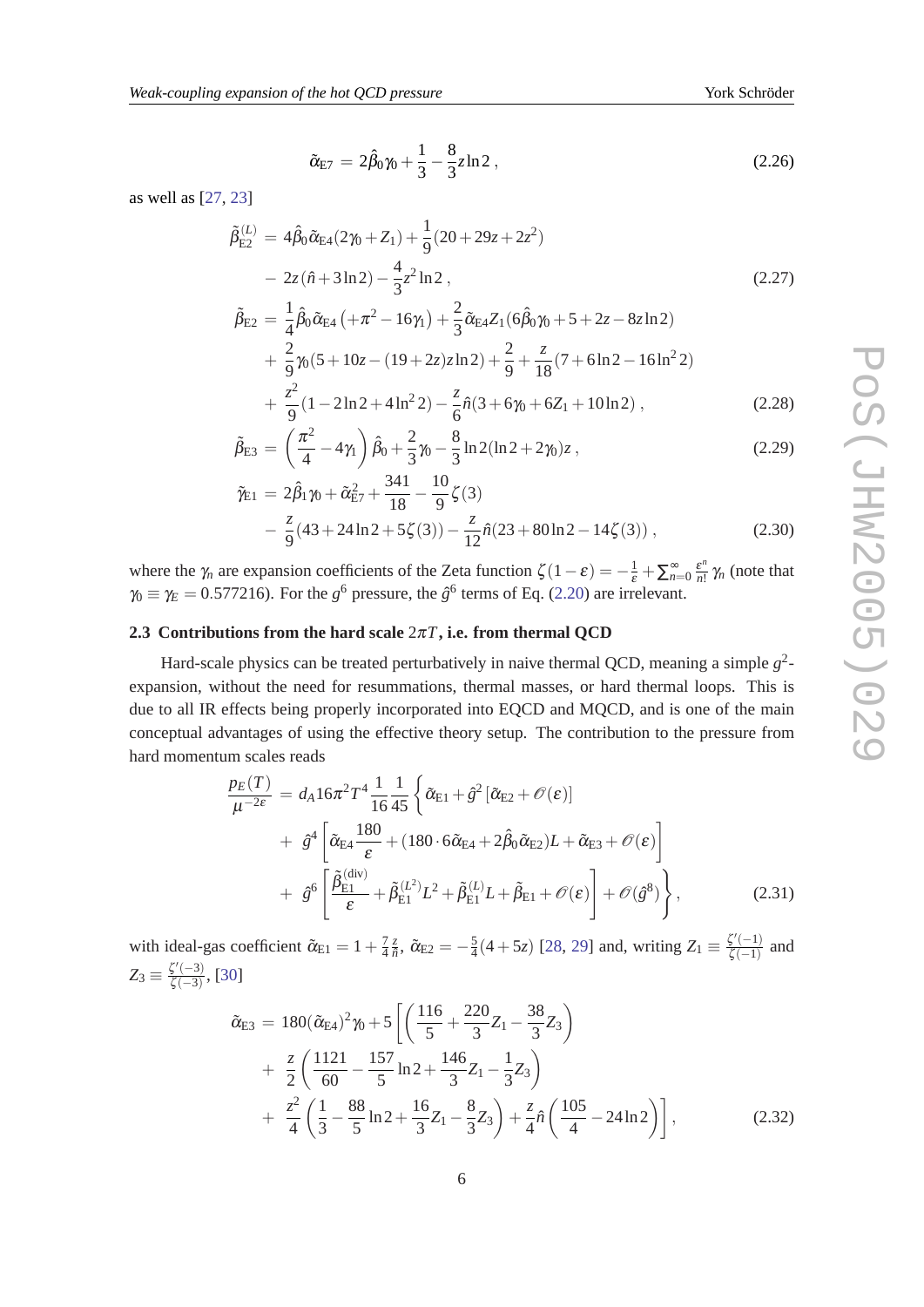$$
\tilde{\alpha}_{E7} = 2\hat{\beta}_0 \gamma_0 + \frac{1}{3} - \frac{8}{3} z \ln 2 , \qquad (2.26)
$$

as well as [\[27](#page-10-0), [23](#page-10-0)]

$$
\tilde{\beta}_{E2}^{(L)} = 4\hat{\beta}_0 \tilde{\alpha}_{E4} (2\gamma_0 + Z_1) + \frac{1}{9} (20 + 29z + 2z^2) \n- 2z (\hat{n} + 3\ln 2) - \frac{4}{3} z^2 \ln 2 ,
$$
\n(2.27)

$$
\tilde{\beta}_{E2} = \frac{1}{4} \hat{\beta}_0 \tilde{\alpha}_{E4} \left( + \pi^2 - 16\gamma_1 \right) + \frac{2}{3} \tilde{\alpha}_{E4} Z_1 (6\hat{\beta}_0 \gamma_0 + 5 + 2z - 8z \ln 2) \n+ \frac{2}{9} \gamma_0 (5 + 10z - (19 + 2z)z \ln 2) + \frac{2}{9} + \frac{z}{18} (7 + 6\ln 2 - 16\ln^2 2) \n\frac{z^2}{2} (1 - 2\ln 2 + 4\ln^2 2) - \frac{z}{2} (2 + 6z + 6z + 6z + 12\ln 2)
$$
\n(2.29)

$$
+\frac{2}{9}(1-2\ln 2+4\ln^2 2)-\frac{2}{6}\hat{n}(3+6\gamma_0+6Z_1+10\ln 2),
$$
\n(2.28)

$$
\tilde{\beta}_{E3} = \left(\frac{\pi^2}{4} - 4\gamma_1\right) \hat{\beta}_0 + \frac{2}{3} \gamma_0 - \frac{8}{3} \ln 2(\ln 2 + 2\gamma_0) z \,,\tag{2.29}
$$

$$
\tilde{\gamma}_{E1} = 2\hat{\beta}_1 \gamma_0 + \tilde{\alpha}_{E7}^2 + \frac{341}{18} - \frac{10}{9} \zeta(3) \n- \frac{z}{9} (43 + 24 \ln 2 + 5 \zeta(3)) - \frac{z}{12} \hat{n} (23 + 80 \ln 2 - 14 \zeta(3)),
$$
\n(2.30)

where the  $\gamma_n$  are expansion coefficients of the Zeta function  $\zeta(1-\varepsilon) = -\frac{1}{\varepsilon} + \sum_{n=0}^{\infty} \frac{\varepsilon^n}{n!}$  $\frac{\varepsilon^n}{n!} \gamma_n$  (note that  $\gamma_0 \equiv \gamma_E = 0.577216$ ). For the  $g^6$  pressure, the  $\hat{g}^6$  terms of Eq. [\(2.20](#page-4-0)) are irrelevant.

#### **2.3 Contributions from the hard scale** 2π*T***, i.e. from thermal QCD**

Hard-scale physics can be treated perturbatively in naive thermal QCD, meaning a simple *g* 2 expansion, without the need for resummations, thermal masses, or hard thermal loops. This is due to all IR effects being properly incorporated into EQCD and MQCD, and is one of the main conceptual advantages of using the effective theory setup. The contribution to the pressure from hard momentum scales reads

$$
\frac{p_E(T)}{\mu^{-2\varepsilon}} = d_A 16\pi^2 T^4 \frac{1}{16} \frac{1}{45} \left\{ \tilde{\alpha}_{E1} + \hat{g}^2 \left[ \tilde{\alpha}_{E2} + \mathcal{O}(\varepsilon) \right] + \hat{g}^4 \left[ \tilde{\alpha}_{E4} \frac{180}{\varepsilon} + (180 \cdot 6 \tilde{\alpha}_{E4} + 2 \hat{\beta}_0 \tilde{\alpha}_{E2}) L + \tilde{\alpha}_{E3} + \mathcal{O}(\varepsilon) \right] + \hat{g}^6 \left[ \frac{\tilde{\beta}_{E1}^{(\text{div})}}{\varepsilon} + \tilde{\beta}_{E1}^{(L^2)} L^2 + \tilde{\beta}_{E1}^{(L)} L + \tilde{\beta}_{E1} + \mathcal{O}(\varepsilon) \right] + \mathcal{O}(\hat{g}^8) \right\},
$$
(2.31)

with ideal-gas coefficient  $\tilde{\alpha}_{E1} = 1 + \frac{7}{4}$ 4 *z*  $\frac{z}{\hat{n}}, \ \tilde{\alpha}_{E2} = -\frac{5}{4}$  $\frac{5}{4}(4+5z)$  [\[28](#page-10-0), [29](#page-10-0)] and, writing  $Z_1 \equiv \frac{\zeta'(-1)}{\zeta(-1)}$  $\frac{\zeta(-1)}{\zeta(-1)}$  and  $Z_3 \equiv \frac{\zeta'(-3)}{\zeta(-3)}$  $\frac{\zeta(-3)}{\zeta(-3)}$ , [\[30](#page-10-0)]

$$
\tilde{\alpha}_{E3} = 180(\tilde{\alpha}_{E4})^2 \gamma_0 + 5 \left[ \left( \frac{116}{5} + \frac{220}{3} Z_1 - \frac{38}{3} Z_3 \right) + \frac{z}{2} \left( \frac{1121}{60} - \frac{157}{5} \ln 2 + \frac{146}{3} Z_1 - \frac{1}{3} Z_3 \right) + \frac{z^2}{4} \left( \frac{1}{3} - \frac{88}{5} \ln 2 + \frac{16}{3} Z_1 - \frac{8}{3} Z_3 \right) + \frac{z}{4} \hat{n} \left( \frac{105}{4} - 24 \ln 2 \right) \right],
$$
\n(2.32)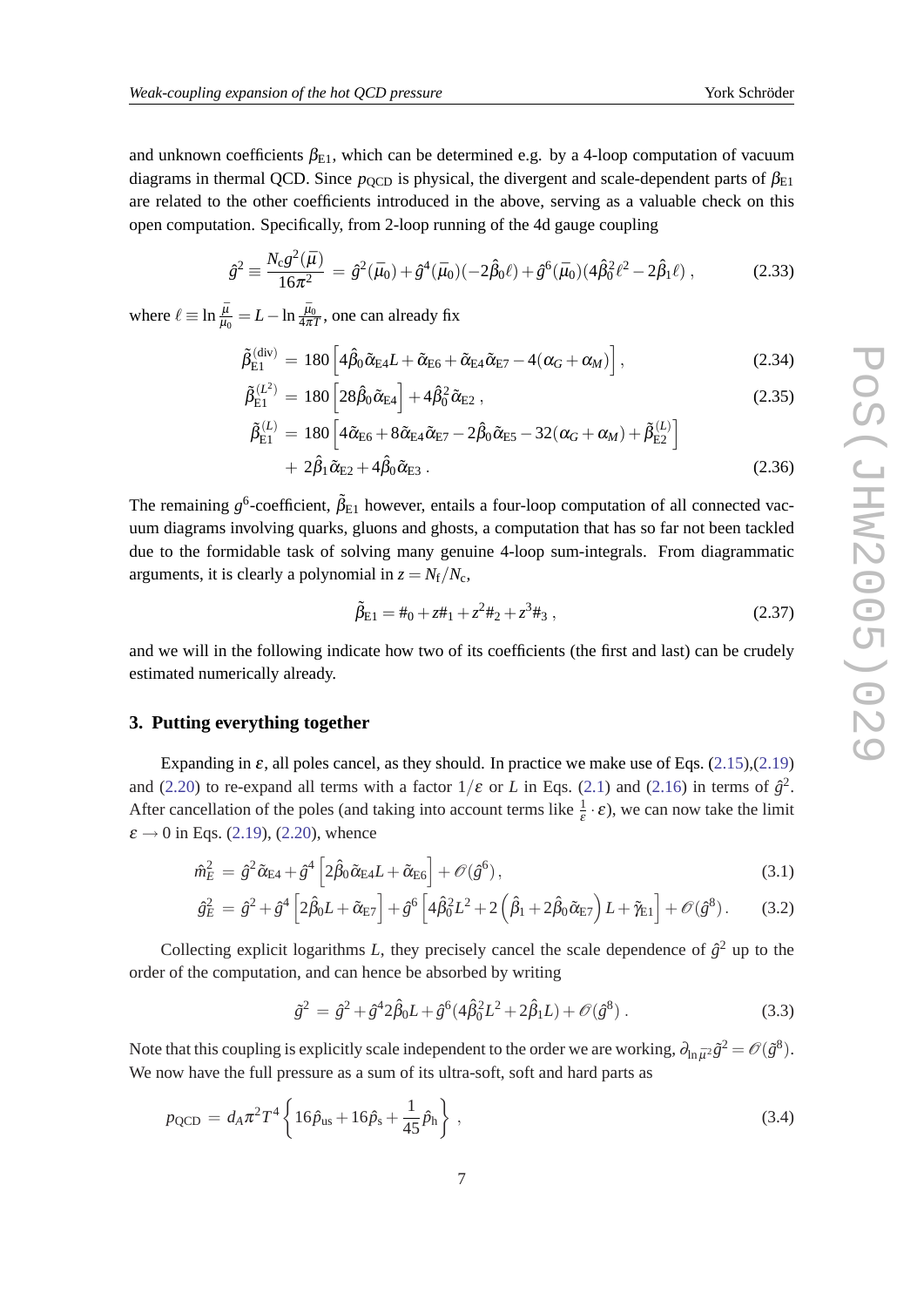<span id="page-6-0"></span>and unknown coefficients  $\beta_{E1}$ , which can be determined e.g. by a 4-loop computation of vacuum diagrams in thermal QCD. Since  $p_{\text{OCD}}$  is physical, the divergent and scale-dependent parts of  $\beta_{\text{E1}}$ are related to the other coefficients introduced in the above, serving as a valuable check on this open computation. Specifically, from 2-loop running of the 4d gauge coupling

$$
\hat{g}^2 \equiv \frac{N_c g^2(\bar{\mu})}{16\pi^2} = \hat{g}^2(\bar{\mu}_0) + \hat{g}^4(\bar{\mu}_0)(-2\hat{\beta}_0\ell) + \hat{g}^6(\bar{\mu}_0)(4\hat{\beta}_0^2\ell^2 - 2\hat{\beta}_1\ell) ,\qquad (2.33)
$$

where  $\ell \equiv \ln \frac{\bar{\mu}}{\bar{\mu}_0} = L - \ln \frac{\bar{\mu}_0}{4\pi T}$ , one can already fix

$$
\tilde{\beta}_{\mathrm{E1}}^{(\mathrm{div})} = 180 \left[ 4 \hat{\beta}_0 \tilde{\alpha}_{\mathrm{E4}} L + \tilde{\alpha}_{\mathrm{E6}} + \tilde{\alpha}_{\mathrm{E4}} \tilde{\alpha}_{\mathrm{E7}} - 4(\alpha_G + \alpha_M) \right], \tag{2.34}
$$

$$
\tilde{\beta}_{\text{E1}}^{(L^2)} = 180 \left[ 28 \hat{\beta}_0 \tilde{\alpha}_{\text{E4}} \right] + 4 \hat{\beta}_0^2 \tilde{\alpha}_{\text{E2}} ,\qquad(2.35)
$$

$$
\tilde{\beta}_{\mathrm{E1}}^{(L)} = 180 \left[ 4 \tilde{\alpha}_{\mathrm{E6}} + 8 \tilde{\alpha}_{\mathrm{E4}} \tilde{\alpha}_{\mathrm{E7}} - 2 \hat{\beta}_0 \tilde{\alpha}_{\mathrm{E5}} - 32 (\alpha_G + \alpha_M) + \tilde{\beta}_{\mathrm{E2}}^{(L)} \right] \n+ 2 \hat{\beta}_1 \tilde{\alpha}_{\mathrm{E2}} + 4 \hat{\beta}_0 \tilde{\alpha}_{\mathrm{E3}} .
$$
\n(2.36)

The remaining  $g^6$ -coefficient,  $\tilde{\beta}_{E1}$  however, entails a four-loop computation of all connected vacuum diagrams involving quarks, gluons and ghosts, a computation that has so far not been tackled due to the formidable task of solving many genuine 4-loop sum-integrals. From diagrammatic arguments, it is clearly a polynomial in  $z = N_f/N_c$ ,

$$
\tilde{\beta}_{E1} = \#_0 + z\#_1 + z^2\#_2 + z^3\#_3 ,\qquad (2.37)
$$

and we will in the following indicate how two of its coefficients (the first and last) can be crudely estimated numerically already.

#### **3. Putting everything together**

Expanding in  $\varepsilon$ , all poles cancel, as they should. In practice we make use of Eqs. [\(2.15](#page-3-0)),[\(2.19](#page-4-0)) and [\(2.20](#page-4-0)) to re-expand all terms with a factor  $1/\varepsilon$  or *L* in Eqs. [\(2.1\)](#page-2-0) and [\(2.16](#page-4-0)) in terms of  $\hat{g}^2$ . After cancellation of the poles (and taking into account terms like  $\frac{1}{\varepsilon} \cdot \varepsilon$ ), we can now take the limit  $\varepsilon \rightarrow 0$  in Eqs. ([2.19\)](#page-4-0), [\(2.20\)](#page-4-0), whence

$$
\hat{m}_E^2 = \hat{g}^2 \tilde{\alpha}_{E4} + \hat{g}^4 \left[ 2 \hat{\beta}_0 \tilde{\alpha}_{E4} L + \tilde{\alpha}_{E6} \right] + \mathcal{O}(\hat{g}^6), \tag{3.1}
$$

$$
\hat{g}_E^2 = \hat{g}^2 + \hat{g}^4 \left[ 2\hat{\beta}_0 L + \tilde{\alpha}_{E7} \right] + \hat{g}^6 \left[ 4\hat{\beta}_0^2 L^2 + 2\left( \hat{\beta}_1 + 2\hat{\beta}_0 \tilde{\alpha}_{E7} \right) L + \tilde{\gamma}_{E1} \right] + \mathcal{O}(\hat{g}^8).
$$
 (3.2)

Collecting explicit logarithms *L*, they precisely cancel the scale dependence of  $\hat{g}^2$  up to the order of the computation, and can hence be absorbed by writing

$$
\tilde{g}^2 = \hat{g}^2 + \hat{g}^4 2\hat{\beta}_0 L + \hat{g}^6 (4\hat{\beta}_0^2 L^2 + 2\hat{\beta}_1 L) + \mathcal{O}(\hat{g}^8) \,. \tag{3.3}
$$

Note that this coupling is explicitly scale independent to the order we are working,  $\partial_{\ln \bar{\mu}^2} \tilde{g}^2 = \mathcal{O}(\tilde{g}^8)$ . We now have the full pressure as a sum of its ultra-soft, soft and hard parts as

$$
p_{\rm QCD} = d_{\rm A} \pi^2 T^4 \left\{ 16 \hat{p}_{\rm us} + 16 \hat{p}_{\rm s} + \frac{1}{45} \hat{p}_{\rm h} \right\} \,, \tag{3.4}
$$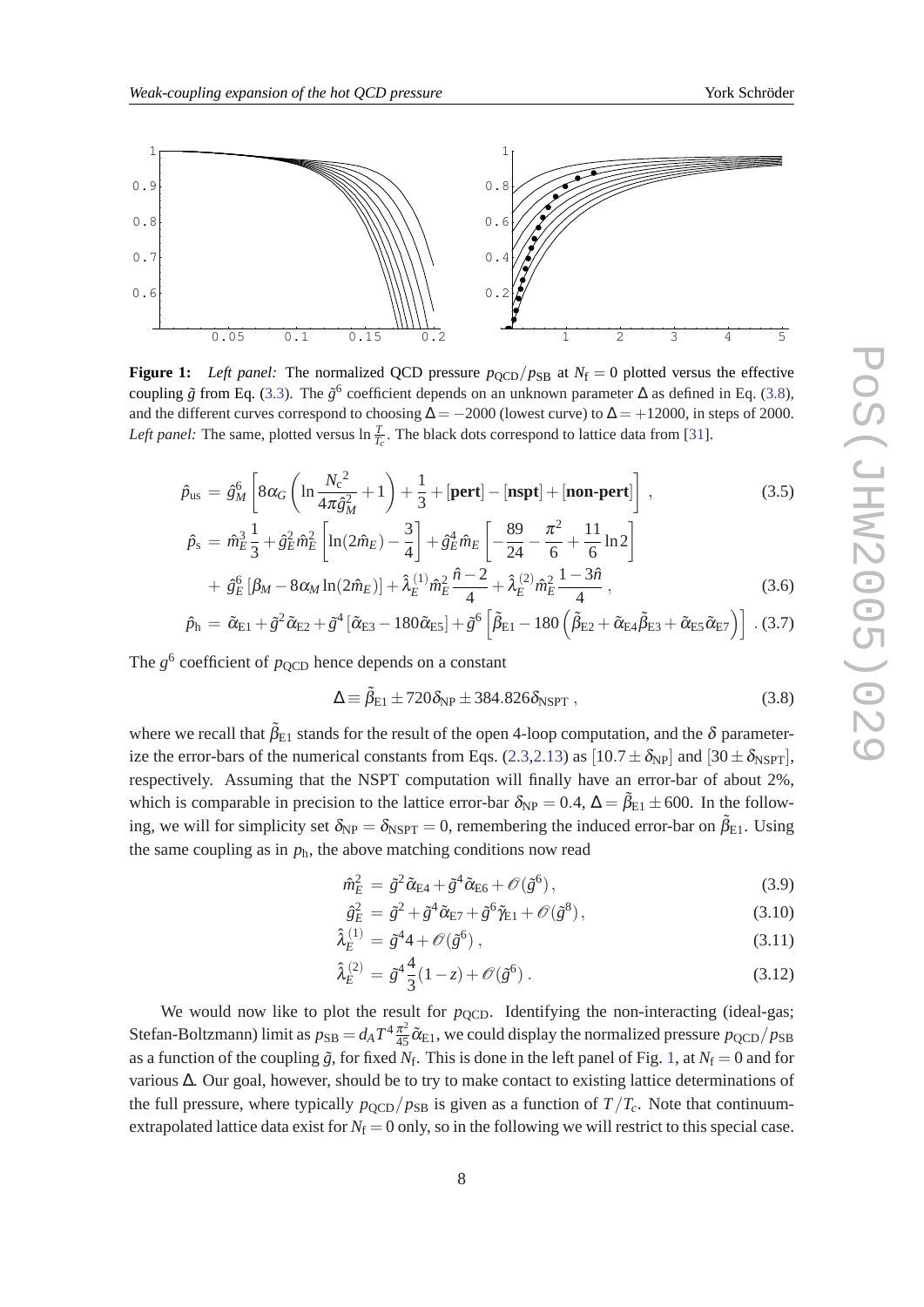<span id="page-7-0"></span>

**Figure 1:** *Left panel:* The normalized QCD pressure  $p_{\text{OCD}}/p_{\text{SB}}$  at  $N_f = 0$  plotted versus the effective coupling  $\tilde{g}$  from Eq. ([3.3](#page-6-0)). The  $\tilde{g}^6$  coefficient depends on an unknown parameter  $\Delta$  as defined in Eq. (3.8), and the different curves correspond to choosing  $\Delta = -2000$  (lowest curve) to  $\Delta = +12000$ , in steps of 2000. *Left panel:* The same, plotted versus  $\ln \frac{T}{T_c}$ . The black dots correspond to lattice data from [\[31](#page-10-0)].

$$
\hat{p}_{\text{us}} = \hat{g}_M^6 \left[ 8\alpha_G \left( \ln \frac{N_c^2}{4\pi \hat{g}_M^2} + 1 \right) + \frac{1}{3} + [\text{pert}] - [\text{nspt}] + [\text{non-pert}] \right] ,\tag{3.5}
$$

$$
\hat{p}_s = \hat{m}_E^3 \frac{1}{3} + \hat{g}_E^2 \hat{m}_E^2 \left[ \ln(2\hat{m}_E) - \frac{3}{4} \right] + \hat{g}_E^4 \hat{m}_E \left[ -\frac{89}{24} - \frac{\pi^2}{6} + \frac{11}{6} \ln 2 \right]
$$
\n
$$
\hat{p}_s = \hat{p}_E^6 \left[ \hat{g}_s - \hat{g}_E^2 \right] + \hat{g}_E^4 \hat{m}_E \left[ -\frac{89}{24} - \frac{\pi^2}{6} + \frac{11}{6} \ln 2 \right]
$$
\n
$$
\hat{p}_s = \hat{g}_E^2 \hat{m}_E^2 \left[ \ln(2\hat{m}_E) - \frac{3}{4} \right] + \hat{g}_E^4 \hat{m}_E \left[ -\frac{89}{24} - \frac{\pi^2}{6} + \frac{11}{6} \ln 2 \right]
$$
\n
$$
\hat{p}_s = \hat{p}_E^2 \hat{m}_E^2 \left[ \ln(2\hat{m}_E) - \frac{3}{4} \right] + \hat{g}_E^4 \hat{m}_E \left[ -\frac{89}{24} - \frac{\pi^2}{6} + \frac{11}{6} \ln 2 \right]
$$

$$
+\ \hat{g}_{E}^{6} \left[\beta_{M} - 8\alpha_{M} \ln(2\hat{m}_{E})\right] + \hat{\lambda}_{E}^{(1)} \hat{m}_{E}^{2} \frac{n-2}{4} + \hat{\lambda}_{E}^{(2)} \hat{m}_{E}^{2} \frac{1-3n}{4} \,,\tag{3.6}
$$

$$
\hat{p}_{h} = \tilde{\alpha}_{E1} + \tilde{g}^{2} \tilde{\alpha}_{E2} + \tilde{g}^{4} \left[ \tilde{\alpha}_{E3} - 180 \tilde{\alpha}_{E5} \right] + \tilde{g}^{6} \left[ \tilde{\beta}_{E1} - 180 \left( \tilde{\beta}_{E2} + \tilde{\alpha}_{E4} \tilde{\beta}_{E3} + \tilde{\alpha}_{E5} \tilde{\alpha}_{E7} \right) \right] . (3.7)
$$

The  $g^6$  coefficient of  $p_{\text{QCD}}$  hence depends on a constant

$$
\Delta \equiv \tilde{\beta}_{E1} \pm 720 \delta_{\rm NP} \pm 384.826 \delta_{\rm NSPT} , \qquad (3.8)
$$

where we recall that  $\tilde{\beta}_{E1}$  stands for the result of the open 4-loop computation, and the  $\delta$  parameter-ize the error-bars of the numerical constants from Eqs. [\(2.3](#page-2-0),[2.13\)](#page-3-0) as  $[10.7 \pm \delta_{\text{NP}}]$  and  $[30 \pm \delta_{\text{NSPT}}]$ , respectively. Assuming that the NSPT computation will finally have an error-bar of about 2%, which is comparable in precision to the lattice error-bar  $\delta_{NP} = 0.4$ ,  $\Delta = \tilde{\beta}_{E1} \pm 600$ . In the following, we will for simplicity set  $\delta_{NP} = \delta_{NSPT} = 0$ , remembering the induced error-bar on  $\tilde{\beta}_{E1}$ . Using the same coupling as in  $p_h$ , the above matching conditions now read

$$
\hat{m}_E^2 = \tilde{g}^2 \tilde{\alpha}_{E4} + \tilde{g}^4 \tilde{\alpha}_{E6} + \mathcal{O}(\tilde{g}^6), \qquad (3.9)
$$

$$
\hat{g}_E^2 = \tilde{g}^2 + \tilde{g}^4 \tilde{\alpha}_{E7} + \tilde{g}^6 \tilde{\gamma}_{E1} + \mathcal{O}(\tilde{g}^8),\tag{3.10}
$$

$$
\hat{\lambda}_E^{(1)} = \tilde{g}^4 4 + \mathcal{O}(\tilde{g}^6) ,\qquad(3.11)
$$

$$
\hat{\lambda}_E^{(2)} = \tilde{g}^4 \frac{4}{3} (1 - z) + \mathcal{O}(\tilde{g}^6) \,. \tag{3.12}
$$

We would now like to plot the result for  $p_{\text{OCD}}$ . Identifying the non-interacting (ideal-gas; Stefan-Boltzmann) limit as  $p_{SB} = d_A T^4 \frac{\pi^2}{45} \tilde{\alpha}_{E1}$ , we could display the normalized pressure  $p_{QCD}/p_{SB}$ as a function of the coupling  $\tilde{g}$ , for fixed  $N_f$ . This is done in the left panel of Fig. 1, at  $N_f = 0$  and for various ∆. Our goal, however, should be to try to make contact to existing lattice determinations of the full pressure, where typically  $p_{\text{OCD}}/p_{\text{SB}}$  is given as a function of  $T/T_c$ . Note that continuumextrapolated lattice data exist for  $N_f = 0$  only, so in the following we will restrict to this special case.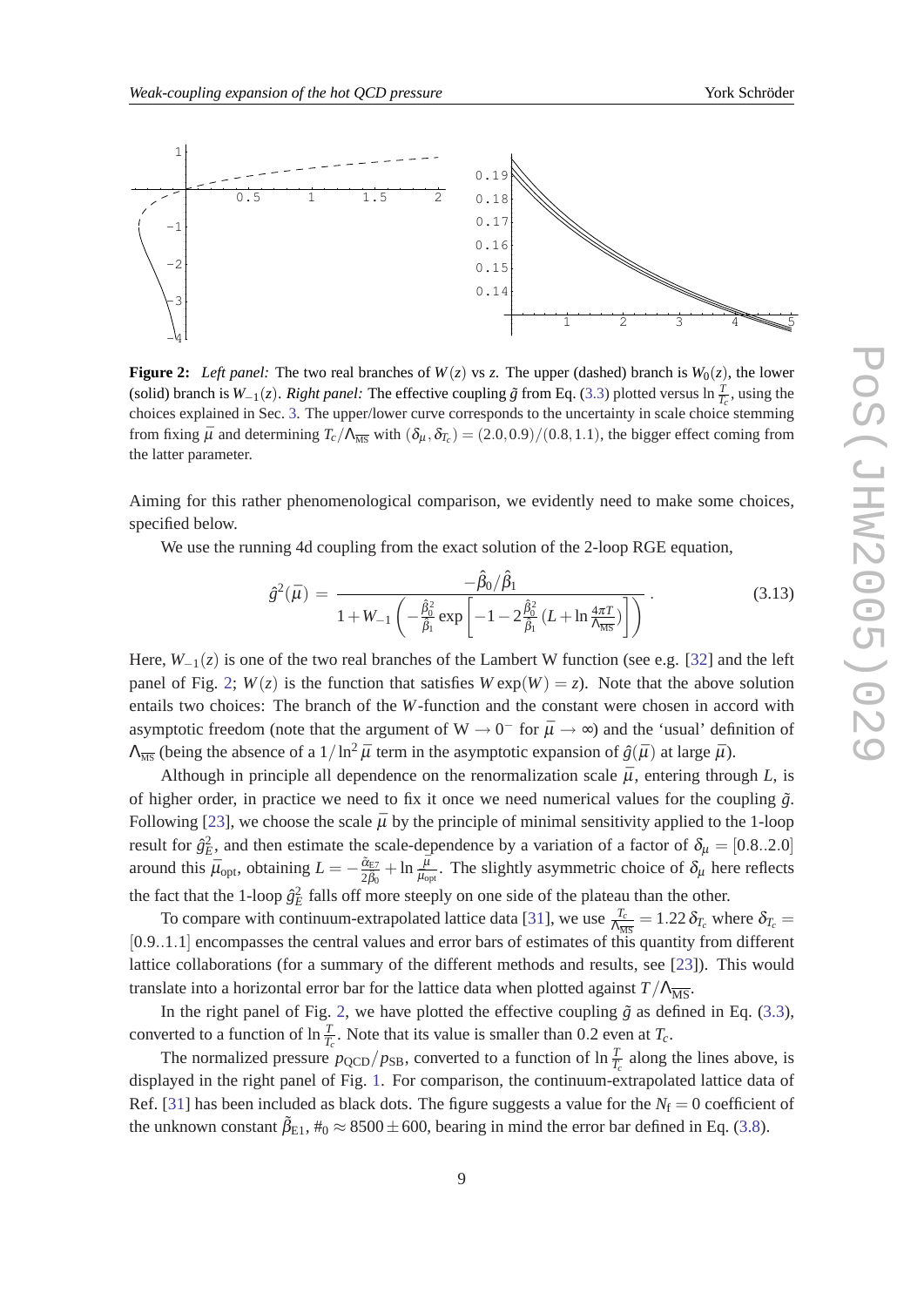

**Figure 2:** *Left panel:* The two real branches of  $W(z)$  vs *z*. The upper (dashed) branch is  $W_0(z)$ , the lower (solid) branch is  $W_{-1}(z)$ . *Right panel:* The effective coupling  $\tilde{g}$  from Eq. [\(3.3\)](#page-6-0) plotted versus  $\ln \frac{T}{T_c}$ , using the choices explained in Sec. [3](#page-6-0). The upper/lower curve corresponds to the uncertainty in scale choice stemming from fixing  $\bar{\mu}$  and determining  $T_c/\Lambda_{\overline{\text{MS}}}$  with  $(\delta_{\mu}, \delta_{T_c}) = (2.0, 0.9)/(0.8, 1.1)$ , the bigger effect coming from the latter parameter.

Aiming for this rather phenomenological comparison, we evidently need to make some choices, specified below.

We use the running 4d coupling from the exact solution of the 2-loop RGE equation,

$$
\hat{g}^{2}(\bar{\mu}) = \frac{-\hat{\beta}_{0}/\hat{\beta}_{1}}{1 + W_{-1}\left(-\frac{\hat{\beta}_{0}^{2}}{\hat{\beta}_{1}}\exp\left[-1 - 2\frac{\hat{\beta}_{0}^{2}}{\hat{\beta}_{1}}\left(L + \ln\frac{4\pi T}{\Lambda_{\overline{\text{MS}}}}\right)\right]\right)}.
$$
(3.13)

Here, *W*<sub>−1</sub>(*z*) is one of the two real branches of the Lambert W function (see e.g. [\[32](#page-10-0)] and the left panel of Fig. 2;  $W(z)$  is the function that satisfies  $W \exp(W) = z$ ). Note that the above solution entails two choices: The branch of the *W*-function and the constant were chosen in accord with asymptotic freedom (note that the argument of  $W \to 0^-$  for  $\bar{\mu} \to \infty$ ) and the 'usual' definition of  $\Lambda_{\overline{MS}}$  (being the absence of a  $1/\ln^2 \bar{\mu}$  term in the asymptotic expansion of  $\hat{g}(\bar{\mu})$  at large  $\bar{\mu}$ ).

Although in principle all dependence on the renormalization scale  $\bar{\mu}$ , entering through *L*, is of higher order, in practice we need to fix it once we need numerical values for the coupling  $\tilde{g}$ . Following [\[23\]](#page-10-0), we choose the scale  $\bar{\mu}$  by the principle of minimal sensitivity applied to the 1-loop result for  $\hat{g}_E^2$ , and then estimate the scale-dependence by a variation of a factor of  $\delta_{\mu} = [0.8..2.0]$ around this  $\bar{\mu}_{\text{opt}}$ , obtaining  $L = -\frac{\tilde{\alpha}_{\text{E7}}}{2\tilde{\beta}_{\text{E}}}$  $\frac{\tilde{\alpha}_{E7}}{2\hat{\beta}_0} + \ln \frac{\bar{\mu}}{\bar{\mu}_{opt}}$ . The slightly asymmetric choice of  $\delta_{\mu}$  here reflects the fact that the 1-loop  $\hat{g}_E^2$  falls off more steeply on one side of the plateau than the other.

To compare with continuum-extrapolated lattice data [\[31](#page-10-0)], we use  $\frac{T_c}{\Lambda_{\overline{\rm MS}}} = 1.22 \delta_{T_c}$  where  $\delta_{T_c} = 1.22 \delta_{T_c}$ [0.9..1.1] encompasses the central values and error bars of estimates of this quantity from different lattice collaborations (for a summary of the different methods and results, see [[23\]](#page-10-0)). This would translate into a horizontal error bar for the lattice data when plotted against  $T/\Lambda_{\overline{\text{MS}}}$ .

In the right panel of Fig. 2, we have plotted the effective coupling  $\tilde{g}$  as defined in Eq. ([3.3\)](#page-6-0), converted to a function of  $\ln \frac{T}{T_c}$ . Note that its value is smaller than 0.2 even at  $T_c$ .

The normalized pressure  $p_{\text{QCD}}/p_{\text{SB}}$ , converted to a function of  $\ln \frac{T}{T_c}$  along the lines above, is displayed in the right panel of Fig. [1](#page-7-0). For comparison, the continuum-extrapolated lattice data of Ref. [\[31](#page-10-0)] has been included as black dots. The figure suggests a value for the  $N_f = 0$  coefficient of the unknown constant  $\tilde{\beta}_{E1}$ ,  $\#_0 \approx 8500 \pm 600$ , bearing in mind the error bar defined in Eq. [\(3.8](#page-7-0)).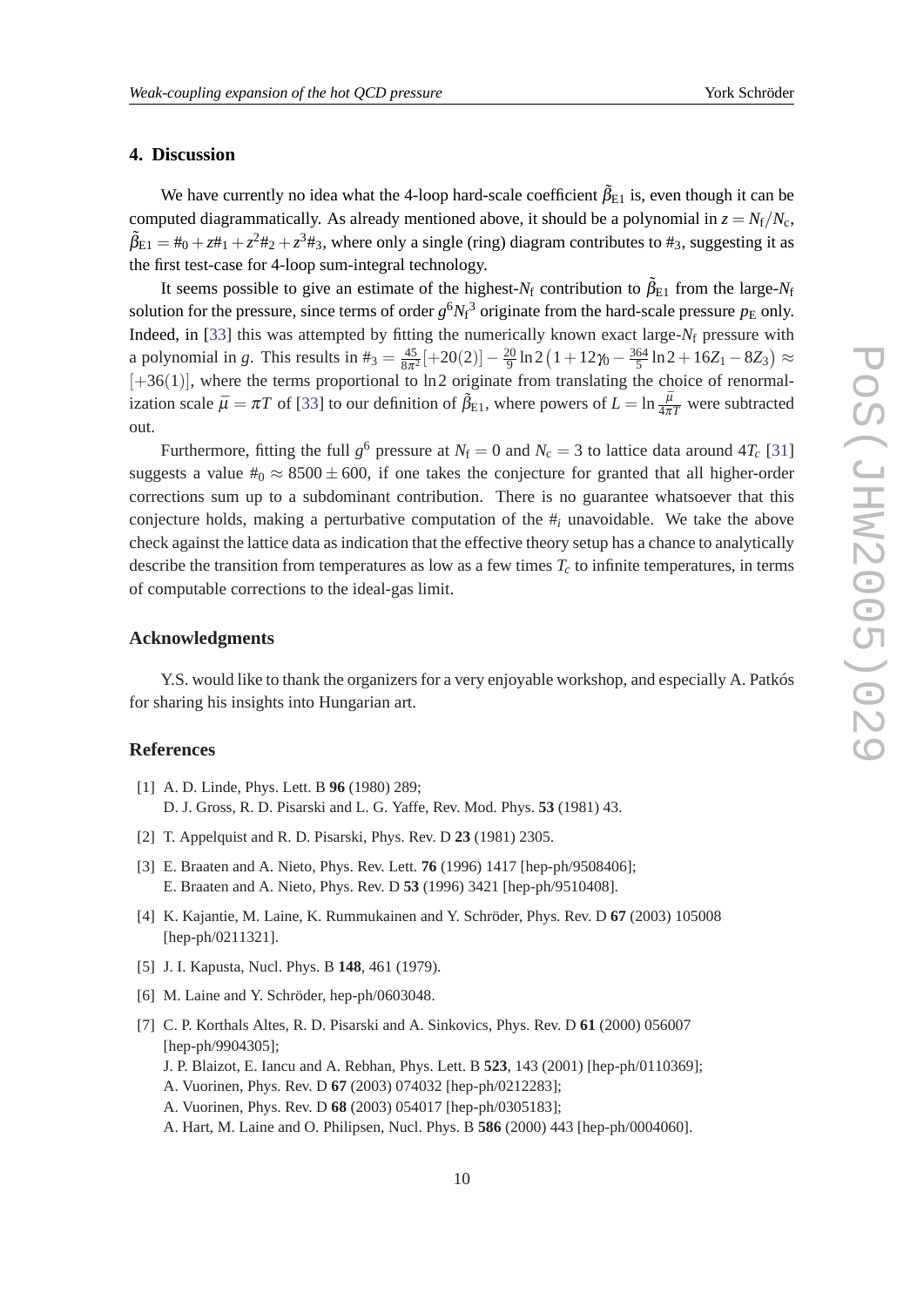#### <span id="page-9-0"></span>**4. Discussion**

We have currently no idea what the 4-loop hard-scale coefficient  $\tilde{\beta}_{E1}$  is, even though it can be computed diagrammatically. As already mentioned above, it should be a polynomial in  $z = N_f/N_c$ ,  $\tilde{\beta}_{E1} = #_0 + zH_1 + z^2H_2 + z^3H_3$ , where only a single (ring) diagram contributes to  $#_3$ , suggesting it as the first test-case for 4-loop sum-integral technology.

It seems possible to give an estimate of the highest- $N_f$  contribution to  $\beta_{E1}$  from the large- $N_f$ solution for the pressure, since terms of order  $g^6N_f^3$  originate from the hard-scale pressure  $p<sub>E</sub>$  only. Indeed, in [[33\]](#page-10-0) this was attempted by fitting the numerically known exact large- $N_f$  pressure with a polynomial in *g*. This results in  $\#_3 = \frac{45}{8\pi^3}$  $\frac{45}{8\pi^2}$ [+20(2)] –  $\frac{20}{9}$  $\frac{20}{9}$  ln 2  $\left(1+12\gamma_0-\frac{364}{5}\right)$  $\frac{64}{5}$  ln 2 + 16*Z*<sub>1</sub> − 8*Z*<sub>3</sub> $\big)$  ≈  $[+36(1)]$ , where the terms proportional to ln2 originate from translating the choice of renormalization scale  $\bar{\mu} = \pi T$  of [\[33](#page-10-0)] to our definition of  $\tilde{\beta}_{E1}$ , where powers of  $L = \ln \frac{\bar{\mu}}{4\pi T}$  were subtracted out.

Furthermore, fitting the full  $g^6$  pressure at  $N_f = 0$  and  $N_c = 3$  to lattice data around  $4T_c$  [\[31](#page-10-0)] suggests a value  $\#_0 \approx 8500 \pm 600$ , if one takes the conjecture for granted that all higher-order corrections sum up to a subdominant contribution. There is no guarantee whatsoever that this conjecture holds, making a perturbative computation of the #*<sup>i</sup>* unavoidable. We take the above check against the lattice data as indication that the effective theory setup has a chance to analytically describe the transition from temperatures as low as a few times  $T_c$  to infinite temperatures, in terms of computable corrections to the ideal-gas limit.

#### **Acknowledgments**

Y.S. would like to thank the organizers for a very enjoyable workshop, and especially A. Patkós for sharing his insights into Hungarian art.

#### **References**

- [1] A. D. Linde, Phys. Lett. B **96** (1980) 289; D. J. Gross, R. D. Pisarski and L. G. Yaffe, Rev. Mod. Phys. **53** (1981) 43.
- [2] T. Appelquist and R. D. Pisarski, Phys. Rev. D **23** (1981) 2305.
- [3] E. Braaten and A. Nieto, Phys. Rev. Lett. **76** (1996) 1417 [hep-ph/9508406]; E. Braaten and A. Nieto, Phys. Rev. D **53** (1996) 3421 [hep-ph/9510408].
- [4] K. Kajantie, M. Laine, K. Rummukainen and Y. Schröder, Phys. Rev. D **67** (2003) 105008 [hep-ph/0211321].
- [5] J. I. Kapusta, Nucl. Phys. B **148**, 461 (1979).
- [6] M. Laine and Y. Schröder, hep-ph/0603048.
- [7] C. P. Korthals Altes, R. D. Pisarski and A. Sinkovics, Phys. Rev. D **61** (2000) 056007 [hep-ph/9904305]; J. P. Blaizot, E. Iancu and A. Rebhan, Phys. Lett. B **523**, 143 (2001) [hep-ph/0110369]; A. Vuorinen, Phys. Rev. D **67** (2003) 074032 [hep-ph/0212283]; A. Vuorinen, Phys. Rev. D **68** (2003) 054017 [hep-ph/0305183]; A. Hart, M. Laine and O. Philipsen, Nucl. Phys. B **586** (2000) 443 [hep-ph/0004060].